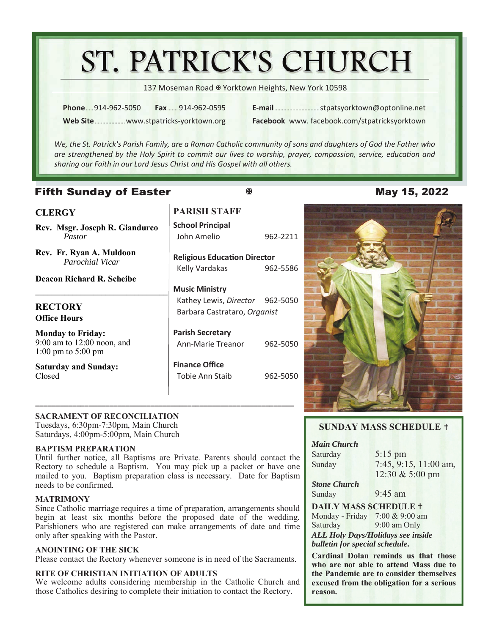# ST. PATRICK'S CHURCH

137 Moseman Road & Yorktown Heights, New York 10598

**Phone** ..... 914-962-5050 **Fax** ....... 914-962-0595 **Web Site** .................... www.stpatricks-yorktown.org **E-mail** .............................. stpatsyorktown@optonline.net

**Facebook** www. facebook.com/stpatricksyorktown

*We, the St. Patrick's Parish Family, are a Roman Catholic community of sons and daughters of God the Father who are strengthened by the Holy Spirit to commit our lives to worship, prayer, compassion, service, educaƟon and sharing our Faith in our Lord Jesus Christ and His Gospel with all others.* 

 $\overline{\mathbf{R}}$ 

# **Fifth Sunday of Easter**

# **CLERGY**

**Rev. Msgr. Joseph R. Giandurco**  *Pastor* 

*\_\_\_\_\_\_\_\_\_\_\_\_\_\_\_\_\_\_\_\_\_\_\_\_\_\_\_\_\_\_\_\_* 

**Rev. Fr. Ryan A. Muldoon**  *Parochial Vicar* 

**Deacon Richard R. Scheibe** 

# **RECTORY Office Hours**

**Monday to Friday:** 9:00 am to 12:00 noon, and 1:00 pm to 5:00 pm

**Saturday and Sunday:**  Closed

# **PARISH STAFF**

**School Principal**  John Amelio 962-2211

**Religious EducaƟon Director**  Kelly Vardakas 962-5586

# **Music Ministry**

 Kathey Lewis, *Director* 962-5050 Barbara Castrataro, *Organist*

**Parish Secretary**  Ann-Marie Treanor 962-5050

**Finance Office**  Tobie Ann Staib 962-5050

# May 15, 2022



# **SACRAMENT OF RECONCILIATION**

Tuesdays, 6:30pm-7:30pm, Main Church Saturdays, 4:00pm-5:00pm, Main Church

# **BAPTISM PREPARATION**

Until further notice, all Baptisms are Private. Parents should contact the Rectory to schedule a Baptism. You may pick up a packet or have one mailed to you. Baptism preparation class is necessary. Date for Baptism needs to be confirmed.

**\_\_\_\_\_\_\_\_\_\_\_\_\_\_\_\_\_\_\_\_\_\_\_\_\_\_\_\_\_\_\_\_\_\_\_\_\_\_\_\_\_\_\_\_\_\_\_\_\_\_\_\_\_\_\_\_\_\_\_\_\_\_\_**

### **MATRIMONY**

Since Catholic marriage requires a time of preparation, arrangements should begin at least six months before the proposed date of the wedding. Parishioners who are registered can make arrangements of date and time only after speaking with the Pastor.

### **ANOINTING OF THE SICK**

Please contact the Rectory whenever someone is in need of the Sacraments.

### **RITE OF CHRISTIAN INITIATION OF ADULTS**

We welcome adults considering membership in the Catholic Church and those Catholics desiring to complete their initiation to contact the Rectory.

# **SUNDAY MASS SCHEDULE**

### *Main Church*

Saturday 5:15 pm

Sunday 7:45, 9:15, 11:00 am, 12:30 & 5:00 pm

*Stone Church*  Sunday 9:45 am

# **DAILY MASS SCHEDULE**

Monday - Friday 7:00 & 9:00 am Saturday 9:00 am Only *ALL Holy Days/Holidays see inside* 

*bulletin for special schedule.* 

**Cardinal Dolan reminds us that those who are not able to attend Mass due to the Pandemic are to consider themselves excused from the obligation for a serious reason.**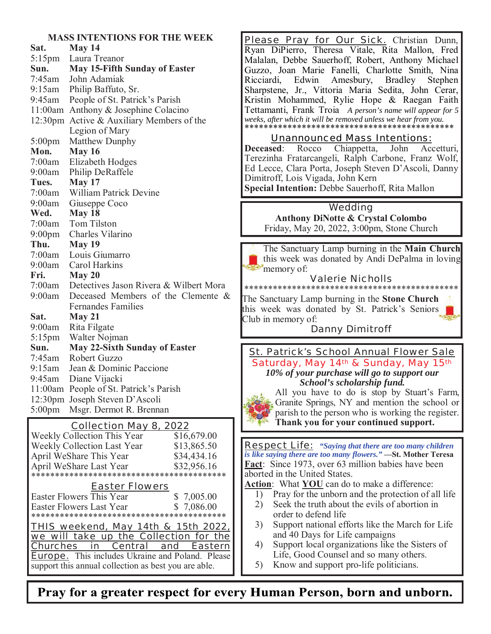### **MASS INTENTIONS FOR THE WEEK**

| Sat.                | May 14                                 |
|---------------------|----------------------------------------|
| 5:15pm              | Laura Treanor                          |
| Sun.                | <b>May 15-Fifth Sunday of Easter</b>   |
| 7:45am              | John Adamiak                           |
| 9:15am              | Philip Baffuto, Sr.                    |
| 9:45am              | People of St. Patrick's Parish         |
| 11:00am             | Anthony & Josephine Colacino           |
| 12:30 <sub>pm</sub> | Active & Auxiliary Members of the      |
|                     | Legion of Mary                         |
| $5:00$ pm           | Matthew Dunphy                         |
| Mon.                | <b>May 16</b>                          |
| 7:00am              | Elizabeth Hodges                       |
| 9:00am              | Philip DeRaffele                       |
| Tues.               | May 17                                 |
| 7:00am              | <b>William Patrick Devine</b>          |
| 9:00am              | Giuseppe Coco                          |
| Wed.                | May 18                                 |
| 7:00am              | <b>Tom Tilston</b>                     |
| $9:00$ pm           | Charles Vilarino                       |
| Thu.                | <b>May 19</b>                          |
| 7:00am              | Louis Giumarro                         |
| 9:00am              | Carol Harkins                          |
| Fri.                | May 20                                 |
| 7:00am              | Detectives Jason Rivera & Wilbert Mora |
| 9:00am              | Deceased Members of the Clemente &     |
|                     | <b>Fernandes Families</b>              |
| Sat.                | May 21                                 |
| 9:00am              | Rita Filgate                           |
| $5:15$ pm           | Walter Nojman                          |
| Sun.                | <b>May 22-Sixth Sunday of Easter</b>   |
| 7:45am              | Robert Guzzo                           |
| 9:15am              | Jean & Dominic Paccione                |
| 9:45am              | Diane Vijacki                          |
| 11:00am             | People of St. Patrick's Parish         |
| 12:30 <sub>pm</sub> | Joseph Steven D'Ascoli                 |
| $5:00$ pm           | Msgr. Dermot R. Brennan                |

| Weekly Collection This Year            | \$16,679.00 |  |  |
|----------------------------------------|-------------|--|--|
| Weekly Collection Last Year            | \$13,865.50 |  |  |
| April WeShare This Year                | \$34,434.16 |  |  |
| April WeShare Last Year                | \$32,956.16 |  |  |
|                                        |             |  |  |
| <b>Easter Flowers</b>                  |             |  |  |
| Easter Flowers This Year               | \$7,005.00  |  |  |
| \$7,086.00<br>Easter Flowers Last Year |             |  |  |
|                                        |             |  |  |
| THIS weekend, May 14th & 15th 2022,    |             |  |  |

we will take up the Collection for the Churches in Central and Eastern **Europe.** This includes Ukraine and Poland. Please support this annual collection as best you are able.

Please Pray for Our Sick. Christian Dunn, Ryan DiPierro, Theresa Vitale, Rita Mallon, Fred Malalan, Debbe Sauerhoff, Robert, Anthony Michael Guzzo, Joan Marie Fanelli, Charlotte Smith, Nina Ricciardi, Edwin Amesbury, Bradley Stephen Sharpstene, Jr., Vittoria Maria Sedita, John Cerar, Kristin Mohammed, Rylie Hope & Raegan Faith Tettamanti, Frank Troia *A person's name will appear for 5 weeks, after which it will be removed unless we hear from you.*  \*\*\*\*\*\*\*\*\*\*\*\*\*\*\*\*\*\*\*\*\*\*\*\*\*\*\*\*\*\*\*\*\*\*\*\*\*\*\*\*\*\*\*\*

# Unannounced Mass Intentions:

**Deceased**: Rocco Chiappetta, John Accetturi, Terezinha Fratarcangeli, Ralph Carbone, Franz Wolf, Ed Lecce, Clara Porta, Joseph Steven D'Ascoli, Danny Dimitroff, Lois Vigada, John Kern

**Special Intention:** Debbe Sauerhoff, Rita Mallon

# Wedding

**Anthony DiNotte & Crystal Colombo**  Friday, May 20, 2022, 3:00pm, Stone Church

The Sanctuary Lamp burning in the **Main Church** this week was donated by Andi DePalma in loving memory of:

### Valerie Nicholls \*\*\*\*\*\*\*\*\*\*\*\*\*\*\*\*\*\*\*\*

The Sanctuary Lamp burning in the **Stone Church** this week was donated by St. Patrick's Seniors Club in memory of:

# Danny Dimitroff

St. Patrick's School Annual Flower Sale Saturday, May 14th & Sunday, May 15th *10% of your purchase will go to support our School's scholarship fund.* 

All you have to do is stop by Stuart's Farm, Granite Springs, NY and mention the school or parish to the person who is working the register. **Collection May 8, 2022** Thank you for your continued support.

> Respect Life: *"Saying that there are too many children is like saying there are too many flowers."* **—St. Mother Teresa Fact**: Since 1973, over 63 million babies have been aborted in the United States.

**Action**:What **YOU** can do to make a difference:

1) Pray for the unborn and the protection of all life

- 2) Seek the truth about the evils of abortion in order to defend life
- 3) Support national efforts like the March for Life and 40 Days for Life campaigns
- 4) Support local organizations like the Sisters of Life, Good Counsel and so many others.
- 5) Know and support pro-life politicians.

Pray for a greater respect for every Human Person, born and unborn.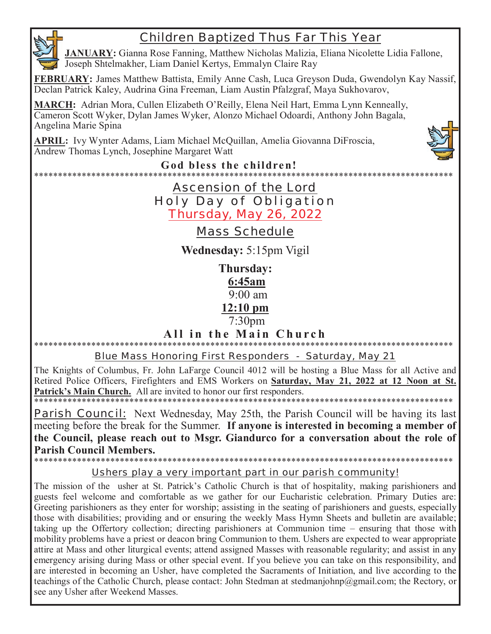# Children Baptized Thus Far This Year

**JANUARY:** Gianna Rose Fanning, Matthew Nicholas Malizia, Eliana Nicolette Lidia Fallone, Joseph Shtelmakher, Liam Daniel Kertys, Emmalyn Claire Ray

**FEBRUARY:** James Matthew Battista, Emily Anne Cash, Luca Greyson Duda, Gwendolyn Kay Nassif, Declan Patrick Kaley, Audrina Gina Freeman, Liam Austin Pfalzgraf, Maya Sukhovarov,

**MARCH:** Adrian Mora, Cullen Elizabeth O'Reilly, Elena Neil Hart, Emma Lynn Kenneally, Cameron Scott Wyker, Dylan James Wyker, Alonzo Michael Odoardi, Anthony John Bagala, Angelina Marie Spina

**APRIL:** Ivy Wynter Adams, Liam Michael McQuillan, Amelia Giovanna DiFroscia, Andrew Thomas Lynch, Josephine Margaret Watt



**God bless the children!** 

# \*\*\*\*\*\*\*\*\*\*\*\*\*\*\*\*\*\*\*\*\*\*\*\*\*\*\*\*\*\*\*\*\*\*\*\*\*\*\*\*\*\*\*\*\*\*\*\*\*\*\*\*\*\*\*\*\*\*\*\*\*\*\*\*\*\*\*\*\*\*\*\*\*\*\*\*\*\*\*\*\*\*\*\*\*\*\*\* Ascension of the Lord Holy Day of Obligation Thursday, May 26, 2022

# Mass Schedule

**Wednesday:** 5:15pm Vigil

**Thursday: 6:45am** 9:00 am **12:10 pm**  7:30pm

**All in the Main Church** \*\*\*\*\*\*\*\*\*\*\*\*\*\*\*\*\*\*\*\*\*\*\*\*\*\*\*\*\*\*\*\*\*\*\*\*\*\*\*\*\*\*\*\*\*\*\*\*\*\*\*\*\*\*\*\*\*\*\*\*\*\*\*\*\*\*\*\*\*\*\*\*\*\*\*\*\*\*\*\*\*\*\*\*\*\*\*\*

# Blue Mass Honoring First Responders - Saturday, May 21

The Knights of Columbus, Fr. John LaFarge Council 4012 will be hosting a Blue Mass for all Active and Retired Police Officers, Firefighters and EMS Workers on **Saturday, May 21, 2022 at 12 Noon at St.**  Patrick's Main Church. All are invited to honor our first responders.

\*\*\*\*\*\*\*\*\*\*\*\*\*\*\*\*\*\*\*\*\*\*\*\*\*\*\*\*\*\*\*

**Parish Council:** Next Wednesday, May 25th, the Parish Council will be having its last meeting before the break for the Summer. **If anyone is interested in becoming a member of the Council, please reach out to Msgr. Giandurco for a conversation about the role of Parish Council Members.** 

### \*\*\*\*\*\*\*\*\*\*\*\*\*\*\*\*\*\*\*\*\*\*\*\*\*\*\*\*\*\*\*\*\*\*\*\*\*\*\*\*\*\*\*\*\*\*\*\*\*\*\*\*\*\*\*\*\*\*\*\*\*\*\*\*\*\*\*\*\*\*\*\*\*\*\*\*\*\*\*\*\*\*\*\*\*\*\*\* Ushers play a very important part in our parish community!

The mission of the usher at St. Patrick's Catholic Church is that of hospitality, making parishioners and guests feel welcome and comfortable as we gather for our Eucharistic celebration. Primary Duties are: Greeting parishioners as they enter for worship; assisting in the seating of parishioners and guests, especially those with disabilities; providing and or ensuring the weekly Mass Hymn Sheets and bulletin are available; taking up the Offertory collection; directing parishioners at Communion time – ensuring that those with mobility problems have a priest or deacon bring Communion to them. Ushers are expected to wear appropriate attire at Mass and other liturgical events; attend assigned Masses with reasonable regularity; and assist in any emergency arising during Mass or other special event. If you believe you can take on this responsibility, and are interested in becoming an Usher, have completed the Sacraments of Initiation, and live according to the teachings of the Catholic Church, please contact: John Stedman at stedmanjohnp@gmail.com; the Rectory, or see any Usher after Weekend Masses.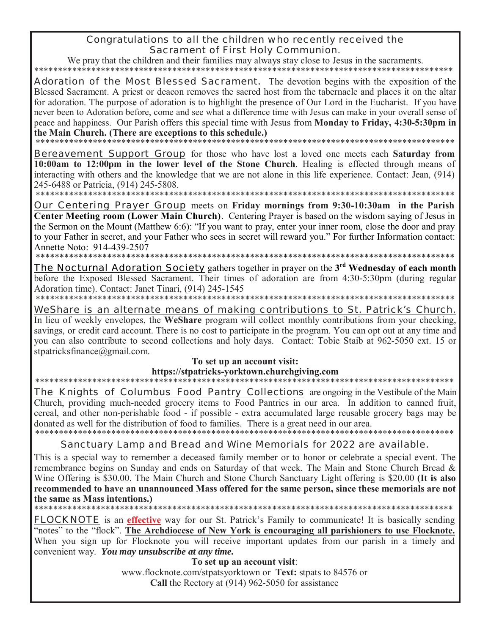# Congratulations to all the children who recently received the **Sacrament of First Holy Communion.**

We pray that the children and their families may always stay close to Jesus in the sacraments. ل مله مله مله مله مله مله مله مله

**Adoration of the Most Blessed Sacrament.** The devotion begins with the exposition of the Blessed Sacrament. A priest or deacon removes the sacred host from the tabernacle and places it on the altar for adoration. The purpose of adoration is to highlight the presence of Our Lord in the Eucharist. If you have never been to Adoration before, come and see what a difference time with Jesus can make in your overall sense of peace and happiness. Our Parish offers this special time with Jesus from Monday to Friday, 4:30-5:30pm in the Main Church. (There are exceptions to this schedule.)

**Bereavement Support Group** for those who have lost a loved one meets each Saturday from 10:00am to 12:00pm in the lower level of the Stone Church. Healing is effected through means of interacting with others and the knowledge that we are not alone in this life experience. Contact: Jean, (914) 245-6488 or Patricia, (914) 245-5808.

\*\*\*\*\*\*\*\*\*\*\*\*\*\*\*\*\*\*\*\*\*\*\*\*\*

**Our Centering Prayer Group** meets on Friday mornings from 9:30-10:30am in the Parish Center Meeting room (Lower Main Church). Centering Prayer is based on the wisdom saying of Jesus in the Sermon on the Mount (Matthew 6:6): "If you want to pray, enter your inner room, close the door and pray to your Father in secret, and your Father who sees in secret will reward you." For further Information contact: Annette Noto: 914-439-2507

**The Nocturnal Adoration Society** gathers together in prayer on the 3<sup>rd</sup> Wednesday of each month before the Exposed Blessed Sacrament. Their times of adoration are from 4:30-5:30pm (during regular Adoration time). Contact: Janet Tinari, (914) 245-1545 \*\*\*\*\*\*\*\*\*\*\*\*\*\*\*\*\*\*\*\*\*\*\*\*\*

WeShare is an alternate means of making contributions to St. Patrick's Church. In lieu of weekly envelopes, the WeShare program will collect monthly contributions from your checking, savings, or credit card account. There is no cost to participate in the program. You can opt out at any time and you can also contribute to second collections and holy days. Contact: Tobie Staib at 962-5050 ext. 15 or stpatricksfinance@gmail.com.

# To set up an account visit:

https://stpatricks-yorktown.churchgiving.com

The Knights of Columbus Food Pantry Collections are ongoing in the Vestibule of the Main Church, providing much-needed grocery items to Food Pantries in our area. In addition to canned fruit, cereal, and other non-perishable food - if possible - extra accumulated large reusable grocery bags may be donated as well for the distribution of food to families. There is a great need in our area. \*\*\*\*\*\*\*\*\*\*\*\*\*\*\*\*\*\*\*\*\*\*\*\*\*\*\*\*\*\*\*\*\*\*\*\*\*\*

# Sanctuary Lamp and Bread and Wine Memorials for 2022 are available.

This is a special way to remember a deceased family member or to honor or celebrate a special event. The remembrance begins on Sunday and ends on Saturday of that week. The Main and Stone Church Bread & Wine Offering is \$30.00. The Main Church and Stone Church Sanctuary Light offering is \$20.00 (It is also recommended to have an unannounced Mass offered for the same person, since these memorials are not the same as Mass intentions.)

\*\*\*\*\*\*\*\*\*\*\*\*\*\*\*\*\*\*\*\*\*\*

**FLOCKNOTE** is an effective way for our St. Patrick's Family to communicate! It is basically sending "notes" to the "flock". The Archdiocese of New York is encouraging all parishioners to use Flocknote. When you sign up for Flocknote you will receive important updates from our parish in a timely and convenient way. You may unsubscribe at any time.

To set up an account visit:

www.flocknote.com/stpatsyorktown or Text: stpats to 84576 or Call the Rectory at (914) 962-5050 for assistance